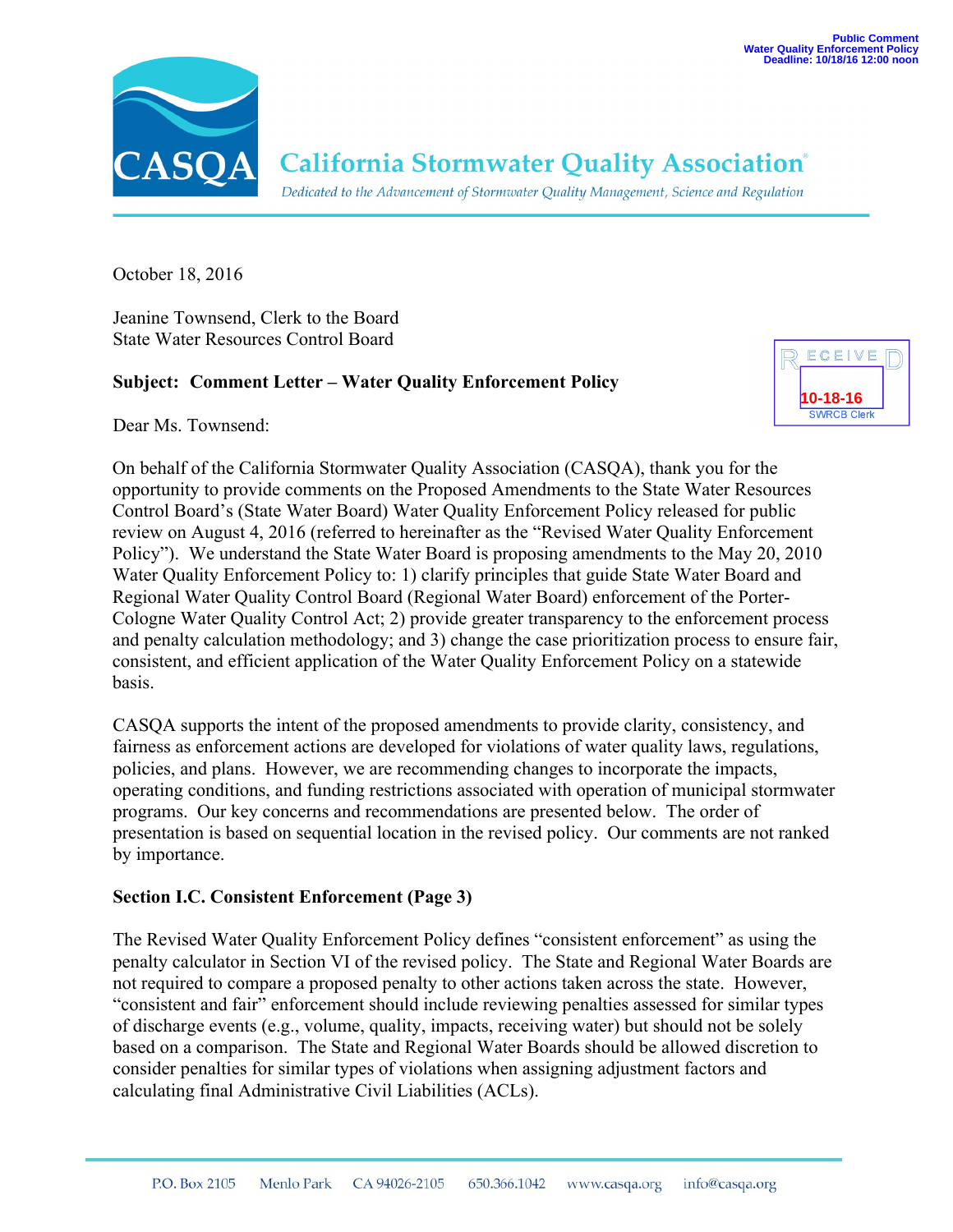

# **California Stormwater Quality Association**®

Dedicated to the Advancement of Stormwater Quality Management, Science and Regulation

October 18, 2016

Jeanine Townsend, Clerk to the Board State Water Resources Control Board

# **Subject: Comment Letter – Water Quality Enforcement Policy**

ECEIVE **10-18-16**

Dear Ms. Townsend:

On behalf of the California Stormwater Quality Association (CASQA), thank you for the opportunity to provide comments on the Proposed Amendments to the State Water Resources Control Board's (State Water Board) Water Quality Enforcement Policy released for public review on August 4, 2016 (referred to hereinafter as the "Revised Water Quality Enforcement Policy"). We understand the State Water Board is proposing amendments to the May 20, 2010 Water Quality Enforcement Policy to: 1) clarify principles that guide State Water Board and Regional Water Quality Control Board (Regional Water Board) enforcement of the Porter-Cologne Water Quality Control Act; 2) provide greater transparency to the enforcement process and penalty calculation methodology; and 3) change the case prioritization process to ensure fair, consistent, and efficient application of the Water Quality Enforcement Policy on a statewide basis.

CASQA supports the intent of the proposed amendments to provide clarity, consistency, and fairness as enforcement actions are developed for violations of water quality laws, regulations, policies, and plans. However, we are recommending changes to incorporate the impacts, operating conditions, and funding restrictions associated with operation of municipal stormwater programs. Our key concerns and recommendations are presented below. The order of presentation is based on sequential location in the revised policy. Our comments are not ranked by importance.

# **Section I.C. Consistent Enforcement (Page 3)**

The Revised Water Quality Enforcement Policy defines "consistent enforcement" as using the penalty calculator in Section VI of the revised policy. The State and Regional Water Boards are not required to compare a proposed penalty to other actions taken across the state. However, "consistent and fair" enforcement should include reviewing penalties assessed for similar types of discharge events (e.g., volume, quality, impacts, receiving water) but should not be solely based on a comparison. The State and Regional Water Boards should be allowed discretion to consider penalties for similar types of violations when assigning adjustment factors and calculating final Administrative Civil Liabilities (ACLs).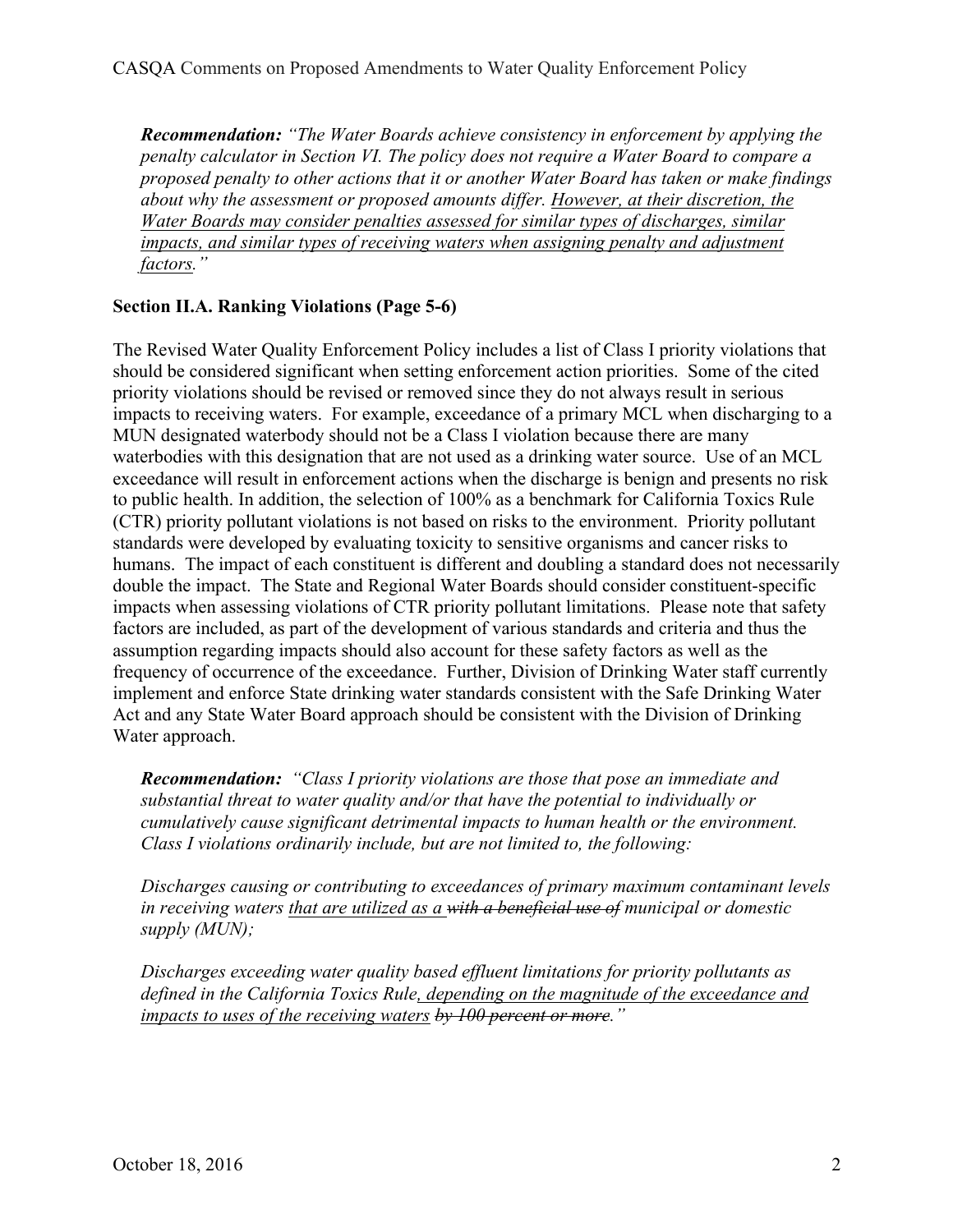*Recommendation: "The Water Boards achieve consistency in enforcement by applying the penalty calculator in Section VI. The policy does not require a Water Board to compare a proposed penalty to other actions that it or another Water Board has taken or make findings about why the assessment or proposed amounts differ. However, at their discretion, the Water Boards may consider penalties assessed for similar types of discharges, similar impacts, and similar types of receiving waters when assigning penalty and adjustment factors."*

# **Section II.A. Ranking Violations (Page 5-6)**

The Revised Water Quality Enforcement Policy includes a list of Class I priority violations that should be considered significant when setting enforcement action priorities. Some of the cited priority violations should be revised or removed since they do not always result in serious impacts to receiving waters. For example, exceedance of a primary MCL when discharging to a MUN designated waterbody should not be a Class I violation because there are many waterbodies with this designation that are not used as a drinking water source. Use of an MCL exceedance will result in enforcement actions when the discharge is benign and presents no risk to public health. In addition, the selection of 100% as a benchmark for California Toxics Rule (CTR) priority pollutant violations is not based on risks to the environment. Priority pollutant standards were developed by evaluating toxicity to sensitive organisms and cancer risks to humans. The impact of each constituent is different and doubling a standard does not necessarily double the impact. The State and Regional Water Boards should consider constituent-specific impacts when assessing violations of CTR priority pollutant limitations. Please note that safety factors are included, as part of the development of various standards and criteria and thus the assumption regarding impacts should also account for these safety factors as well as the frequency of occurrence of the exceedance. Further, Division of Drinking Water staff currently implement and enforce State drinking water standards consistent with the Safe Drinking Water Act and any State Water Board approach should be consistent with the Division of Drinking Water approach.

*Recommendation: "Class I priority violations are those that pose an immediate and substantial threat to water quality and/or that have the potential to individually or cumulatively cause significant detrimental impacts to human health or the environment. Class I violations ordinarily include, but are not limited to, the following:*

*Discharges causing or contributing to exceedances of primary maximum contaminant levels in receiving waters that are utilized as a with a beneficial use of municipal or domestic supply (MUN);*

*Discharges exceeding water quality based effluent limitations for priority pollutants as defined in the California Toxics Rule, depending on the magnitude of the exceedance and impacts to uses of the receiving waters by 100 percent or more."*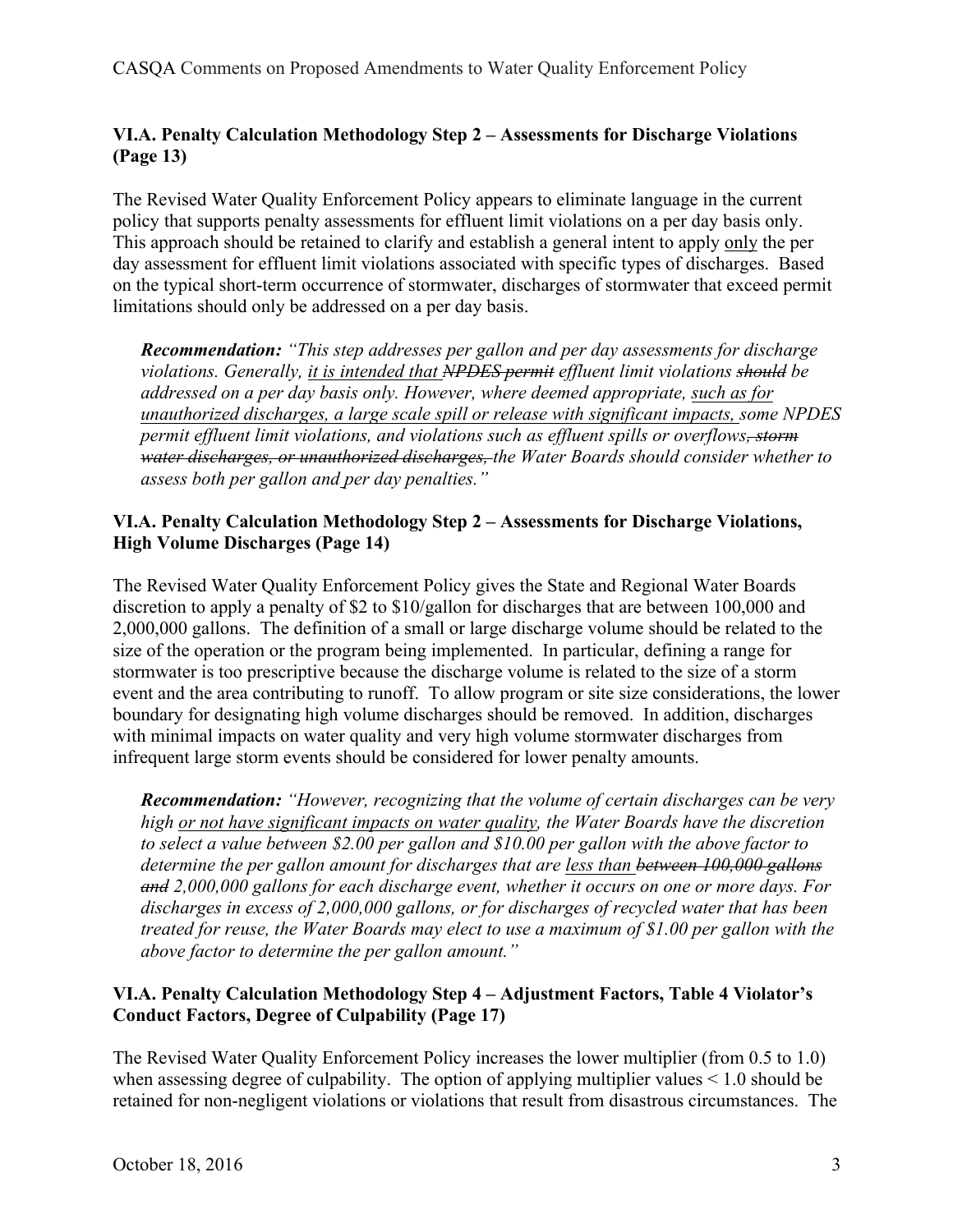# **VI.A. Penalty Calculation Methodology Step 2 – Assessments for Discharge Violations (Page 13)**

The Revised Water Quality Enforcement Policy appears to eliminate language in the current policy that supports penalty assessments for effluent limit violations on a per day basis only. This approach should be retained to clarify and establish a general intent to apply only the per day assessment for effluent limit violations associated with specific types of discharges. Based on the typical short-term occurrence of stormwater, discharges of stormwater that exceed permit limitations should only be addressed on a per day basis.

*Recommendation: "This step addresses per gallon and per day assessments for discharge violations. Generally, it is intended that NPDES permit effluent limit violations should be addressed on a per day basis only. However, where deemed appropriate, such as for unauthorized discharges, a large scale spill or release with significant impacts, some NPDES permit effluent limit violations, and violations such as effluent spills or overflows, storm water discharges, or unauthorized discharges, the Water Boards should consider whether to assess both per gallon and per day penalties."*

# **VI.A. Penalty Calculation Methodology Step 2 – Assessments for Discharge Violations, High Volume Discharges (Page 14)**

The Revised Water Quality Enforcement Policy gives the State and Regional Water Boards discretion to apply a penalty of \$2 to \$10/gallon for discharges that are between 100,000 and 2,000,000 gallons. The definition of a small or large discharge volume should be related to the size of the operation or the program being implemented. In particular, defining a range for stormwater is too prescriptive because the discharge volume is related to the size of a storm event and the area contributing to runoff. To allow program or site size considerations, the lower boundary for designating high volume discharges should be removed. In addition, discharges with minimal impacts on water quality and very high volume stormwater discharges from infrequent large storm events should be considered for lower penalty amounts.

*Recommendation: "However, recognizing that the volume of certain discharges can be very high or not have significant impacts on water quality, the Water Boards have the discretion to select a value between \$2.00 per gallon and \$10.00 per gallon with the above factor to determine the per gallon amount for discharges that are less than between 100,000 gallons and 2,000,000 gallons for each discharge event, whether it occurs on one or more days. For discharges in excess of 2,000,000 gallons, or for discharges of recycled water that has been treated for reuse, the Water Boards may elect to use a maximum of \$1.00 per gallon with the above factor to determine the per gallon amount."*

# **VI.A. Penalty Calculation Methodology Step 4 – Adjustment Factors, Table 4 Violator's Conduct Factors, Degree of Culpability (Page 17)**

The Revised Water Quality Enforcement Policy increases the lower multiplier (from 0.5 to 1.0) when assessing degree of culpability. The option of applying multiplier values  $\leq 1.0$  should be retained for non-negligent violations or violations that result from disastrous circumstances. The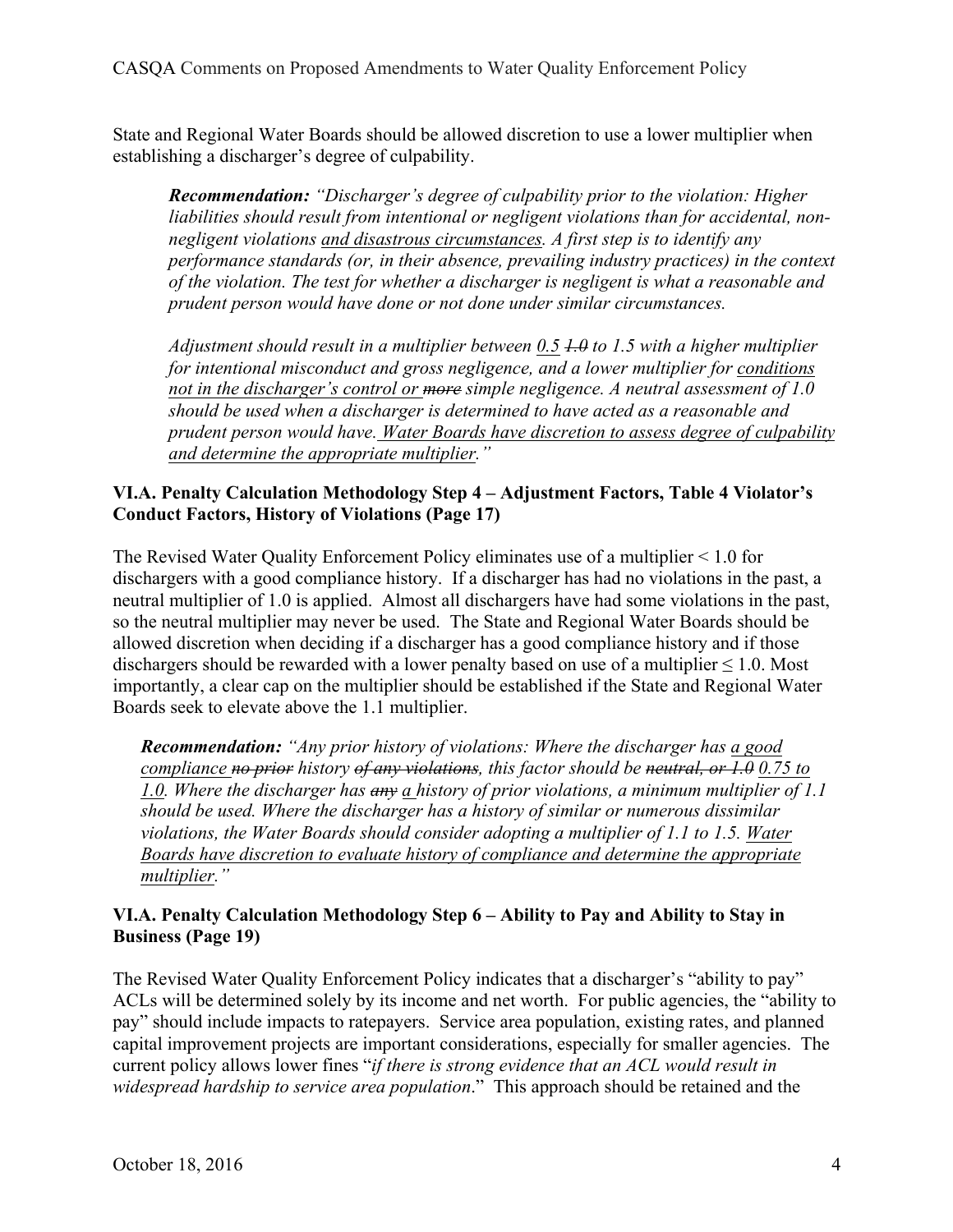State and Regional Water Boards should be allowed discretion to use a lower multiplier when establishing a discharger's degree of culpability.

*Recommendation: "Discharger's degree of culpability prior to the violation: Higher liabilities should result from intentional or negligent violations than for accidental, nonnegligent violations and disastrous circumstances. A first step is to identify any performance standards (or, in their absence, prevailing industry practices) in the context of the violation. The test for whether a discharger is negligent is what a reasonable and prudent person would have done or not done under similar circumstances.*

*Adjustment should result in a multiplier between 0.5 1.0 to 1.5 with a higher multiplier for intentional misconduct and gross negligence, and a lower multiplier for conditions not in the discharger's control or more simple negligence. A neutral assessment of 1.0 should be used when a discharger is determined to have acted as a reasonable and prudent person would have. Water Boards have discretion to assess degree of culpability and determine the appropriate multiplier."*

# **VI.A. Penalty Calculation Methodology Step 4 – Adjustment Factors, Table 4 Violator's Conduct Factors, History of Violations (Page 17)**

The Revised Water Quality Enforcement Policy eliminates use of a multiplier < 1.0 for dischargers with a good compliance history. If a discharger has had no violations in the past, a neutral multiplier of 1.0 is applied. Almost all dischargers have had some violations in the past, so the neutral multiplier may never be used. The State and Regional Water Boards should be allowed discretion when deciding if a discharger has a good compliance history and if those dischargers should be rewarded with a lower penalty based on use of a multiplier  $\leq 1.0$ . Most importantly, a clear cap on the multiplier should be established if the State and Regional Water Boards seek to elevate above the 1.1 multiplier.

*Recommendation: "Any prior history of violations: Where the discharger has a good compliance no prior history of any violations, this factor should be neutral, or 1.0 0.75 to 1.0. Where the discharger has any a history of prior violations, a minimum multiplier of 1.1 should be used. Where the discharger has a history of similar or numerous dissimilar violations, the Water Boards should consider adopting a multiplier of 1.1 to 1.5. Water Boards have discretion to evaluate history of compliance and determine the appropriate multiplier."*

# **VI.A. Penalty Calculation Methodology Step 6 – Ability to Pay and Ability to Stay in Business (Page 19)**

The Revised Water Quality Enforcement Policy indicates that a discharger's "ability to pay" ACLs will be determined solely by its income and net worth. For public agencies, the "ability to pay" should include impacts to ratepayers. Service area population, existing rates, and planned capital improvement projects are important considerations, especially for smaller agencies. The current policy allows lower fines "*if there is strong evidence that an ACL would result in widespread hardship to service area population*." This approach should be retained and the